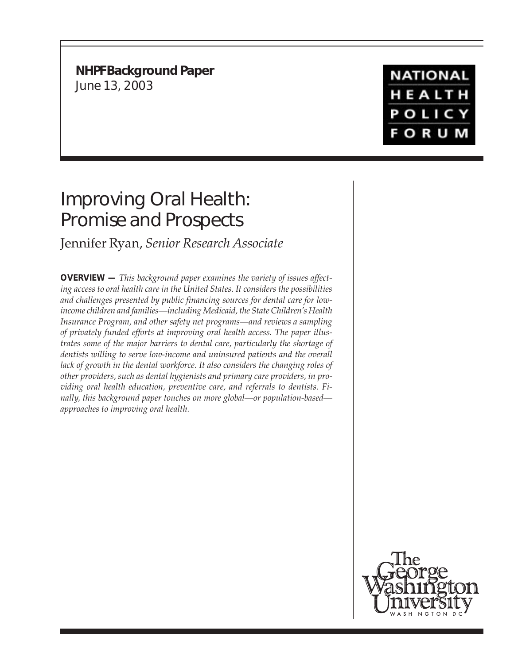**NHPF Background Paper** June 13, 2003

# Improving Oral Health: Promise and Prospects

# Jennifer Ryan, *Senior Research Associate*

**OVERVIEW —** *This background paper examines the variety of issues affecting access to oral health care in the United States. It considers the possibilities and challenges presented by public financing sources for dental care for lowincome children and families—including Medicaid, the State Children's Health Insurance Program, and other safety net programs—and reviews a sampling of privately funded efforts at improving oral health access. The paper illustrates some of the major barriers to dental care, particularly the shortage of dentists willing to serve low-income and uninsured patients and the overall lack of growth in the dental workforce. It also considers the changing roles of other providers, such as dental hygienists and primary care providers, in providing oral health education, preventive care, and referrals to dentists. Finally, this background paper touches on more global—or population-based approaches to improving oral health.*

**NATIONAL** HEALTH **POLICY FORUM** 

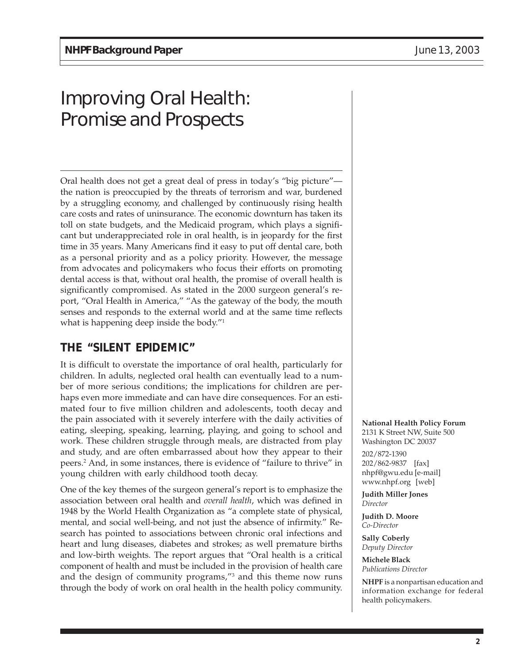# Improving Oral Health: Promise and Prospects

Oral health does not get a great deal of press in today's "big picture" the nation is preoccupied by the threats of terrorism and war, burdened by a struggling economy, and challenged by continuously rising health care costs and rates of uninsurance. The economic downturn has taken its toll on state budgets, and the Medicaid program, which plays a significant but underappreciated role in oral health, is in jeopardy for the first time in 35 years. Many Americans find it easy to put off dental care, both as a personal priority and as a policy priority. However, the message from advocates and policymakers who focus their efforts on promoting dental access is that, without oral health, the promise of overall health is significantly compromised. As stated in the 2000 surgeon general's report, "Oral Health in America," "As the gateway of the body, the mouth senses and responds to the external world and at the same time reflects what is happening deep inside the body."1

# **THE "SILENT EPIDEMIC"**

It is difficult to overstate the importance of oral health, particularly for children. In adults, neglected oral health can eventually lead to a number of more serious conditions; the implications for children are perhaps even more immediate and can have dire consequences. For an estimated four to five million children and adolescents, tooth decay and the pain associated with it severely interfere with the daily activities of eating, sleeping, speaking, learning, playing, and going to school and work. These children struggle through meals, are distracted from play and study, and are often embarrassed about how they appear to their peers.2 And, in some instances, there is evidence of "failure to thrive" in young children with early childhood tooth decay.

One of the key themes of the surgeon general's report is to emphasize the association between oral health and *overall health*, which was defined in 1948 by the World Health Organization as "a complete state of physical, mental, and social well-being, and not just the absence of infirmity." Research has pointed to associations between chronic oral infections and heart and lung diseases, diabetes and strokes; as well premature births and low-birth weights. The report argues that "Oral health is a critical component of health and must be included in the provision of health care and the design of community programs,"3 and this theme now runs through the body of work on oral health in the health policy community.

#### **National Health Policy Forum**

2131 K Street NW, Suite 500 Washington DC 20037 202/872-1390 202/862-9837 [fax] nhpf@gwu.edu [e-mail] www.nhpf.org [web]

**Judith Miller Jones** *Director*

**Judith D. Moore** *Co-Director*

**Sally Coberly** *Deputy Director*

**Michele Black** *Publications Director*

**NHPF** is a nonpartisan education and information exchange for federal health policymakers.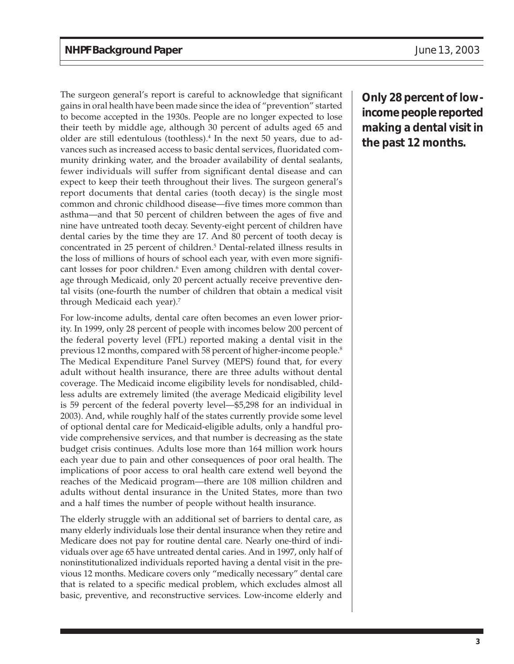The surgeon general's report is careful to acknowledge that significant gains in oral health have been made since the idea of "prevention" started to become accepted in the 1930s. People are no longer expected to lose their teeth by middle age, although 30 percent of adults aged 65 and older are still edentulous (toothless).<sup>4</sup> In the next 50 years, due to advances such as increased access to basic dental services, fluoridated community drinking water, and the broader availability of dental sealants, fewer individuals will suffer from significant dental disease and can expect to keep their teeth throughout their lives. The surgeon general's report documents that dental caries (tooth decay) is the single most common and chronic childhood disease—five times more common than asthma—and that 50 percent of children between the ages of five and nine have untreated tooth decay. Seventy-eight percent of children have dental caries by the time they are 17. And 80 percent of tooth decay is concentrated in 25 percent of children.5 Dental-related illness results in the loss of millions of hours of school each year, with even more significant losses for poor children.<sup>6</sup> Even among children with dental coverage through Medicaid, only 20 percent actually receive preventive dental visits (one-fourth the number of children that obtain a medical visit through Medicaid each year).7

For low-income adults, dental care often becomes an even lower priority. In 1999, only 28 percent of people with incomes below 200 percent of the federal poverty level (FPL) reported making a dental visit in the previous 12 months, compared with 58 percent of higher-income people.<sup>8</sup> The Medical Expenditure Panel Survey (MEPS) found that, for every adult without health insurance, there are three adults without dental coverage. The Medicaid income eligibility levels for nondisabled, childless adults are extremely limited (the average Medicaid eligibility level is 59 percent of the federal poverty level—\$5,298 for an individual in 2003). And, while roughly half of the states currently provide some level of optional dental care for Medicaid-eligible adults, only a handful provide comprehensive services, and that number is decreasing as the state budget crisis continues. Adults lose more than 164 million work hours each year due to pain and other consequences of poor oral health. The implications of poor access to oral health care extend well beyond the reaches of the Medicaid program—there are 108 million children and adults without dental insurance in the United States, more than two and a half times the number of people without health insurance.

The elderly struggle with an additional set of barriers to dental care, as many elderly individuals lose their dental insurance when they retire and Medicare does not pay for routine dental care. Nearly one-third of individuals over age 65 have untreated dental caries. And in 1997, only half of noninstitutionalized individuals reported having a dental visit in the previous 12 months. Medicare covers only "medically necessary" dental care that is related to a specific medical problem, which excludes almost all basic, preventive, and reconstructive services. Low-income elderly and

**Only 28 percent of lowincome people reported making a dental visit in the past 12 months.**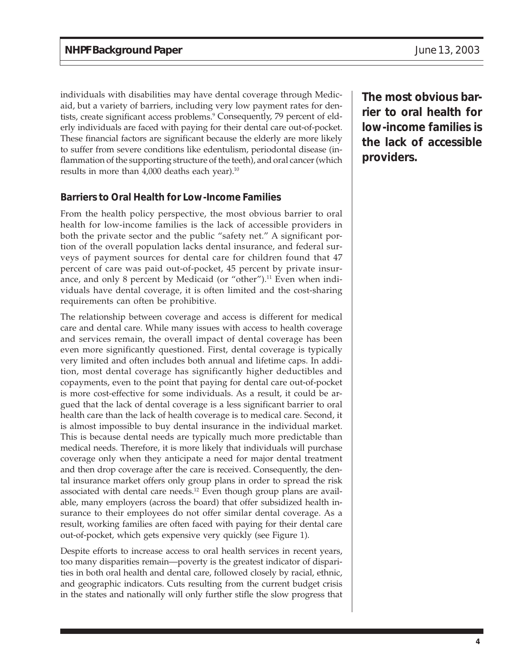individuals with disabilities may have dental coverage through Medicaid, but a variety of barriers, including very low payment rates for dentists, create significant access problems.9 Consequently, 79 percent of elderly individuals are faced with paying for their dental care out-of-pocket. These financial factors are significant because the elderly are more likely to suffer from severe conditions like edentulism, periodontal disease (inflammation of the supporting structure of the teeth), and oral cancer (which results in more than 4,000 deaths each year).<sup>10</sup>

#### **Barriers to Oral Health for Low-Income Families**

From the health policy perspective, the most obvious barrier to oral health for low-income families is the lack of accessible providers in both the private sector and the public "safety net." A significant portion of the overall population lacks dental insurance, and federal surveys of payment sources for dental care for children found that 47 percent of care was paid out-of-pocket, 45 percent by private insurance, and only 8 percent by Medicaid (or "other").<sup>11</sup> Even when individuals have dental coverage, it is often limited and the cost-sharing requirements can often be prohibitive.

The relationship between coverage and access is different for medical care and dental care. While many issues with access to health coverage and services remain, the overall impact of dental coverage has been even more significantly questioned. First, dental coverage is typically very limited and often includes both annual and lifetime caps. In addition, most dental coverage has significantly higher deductibles and copayments, even to the point that paying for dental care out-of-pocket is more cost-effective for some individuals. As a result, it could be argued that the lack of dental coverage is a less significant barrier to oral health care than the lack of health coverage is to medical care. Second, it is almost impossible to buy dental insurance in the individual market. This is because dental needs are typically much more predictable than medical needs. Therefore, it is more likely that individuals will purchase coverage only when they anticipate a need for major dental treatment and then drop coverage after the care is received. Consequently, the dental insurance market offers only group plans in order to spread the risk associated with dental care needs.<sup>12</sup> Even though group plans are available, many employers (across the board) that offer subsidized health insurance to their employees do not offer similar dental coverage. As a result, working families are often faced with paying for their dental care out-of-pocket, which gets expensive very quickly (see Figure 1).

Despite efforts to increase access to oral health services in recent years, too many disparities remain—poverty is the greatest indicator of disparities in both oral health and dental care, followed closely by racial, ethnic, and geographic indicators. Cuts resulting from the current budget crisis in the states and nationally will only further stifle the slow progress that **The most obvious barrier to oral health for low-income families is the lack of accessible providers.**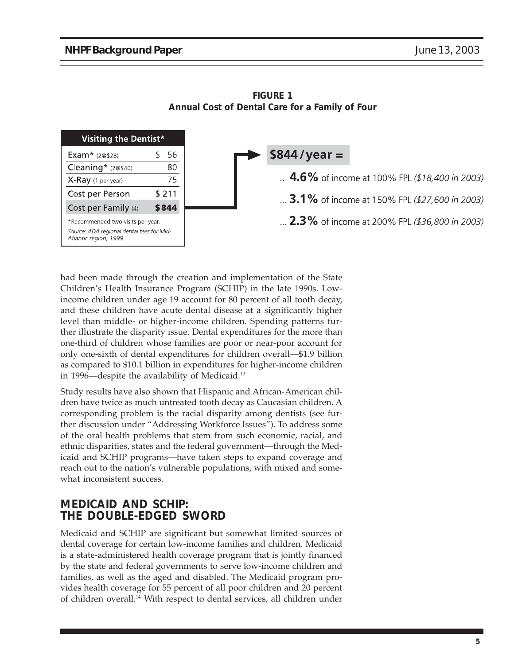

**FIGURE 1 Annual Cost of Dental Care for a Family of Four**

had been made through the creation and implementation of the State Children's Health Insurance Program (SCHIP) in the late 1990s. Lowincome children under age 19 account for 80 percent of all tooth decay, and these children have acute dental disease at a significantly higher level than middle- or higher-income children. Spending patterns further illustrate the disparity issue. Dental expenditures for the more than one-third of children whose families are poor or near-poor account for only one-sixth of dental expenditures for children overall—\$1.9 billion as compared to \$10.1 billion in expenditures for higher-income children in 1996—despite the availability of Medicaid.13

Study results have also shown that Hispanic and African-American children have twice as much untreated tooth decay as Caucasian children. A corresponding problem is the racial disparity among dentists (see further discussion under "Addressing Workforce Issues"). To address some of the oral health problems that stem from such economic, racial, and ethnic disparities, states and the federal government—through the Medicaid and SCHIP programs—have taken steps to expand coverage and reach out to the nation's vulnerable populations, with mixed and somewhat inconsistent success.

### **MEDICAID AND SCHIP: THE DOUBLE-EDGED SWORD**

Medicaid and SCHIP are significant but somewhat limited sources of dental coverage for certain low-income families and children. Medicaid is a state-administered health coverage program that is jointly financed by the state and federal governments to serve low-income children and families, as well as the aged and disabled. The Medicaid program provides health coverage for 55 percent of all poor children and 20 percent of children overall.14 With respect to dental services, all children under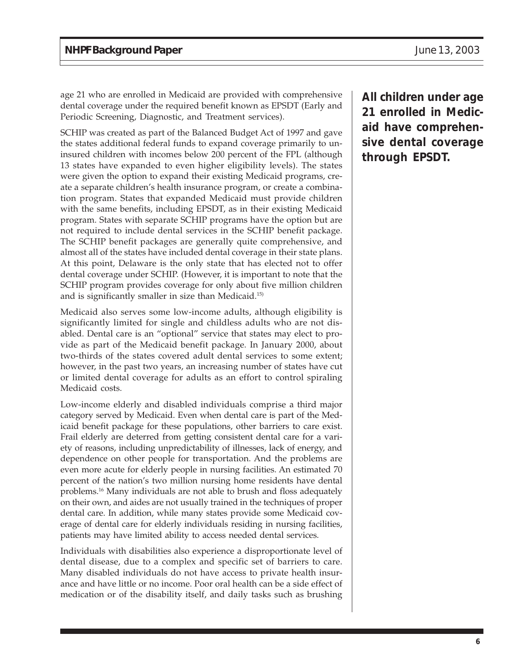age 21 who are enrolled in Medicaid are provided with comprehensive dental coverage under the required benefit known as EPSDT (Early and Periodic Screening, Diagnostic, and Treatment services).

SCHIP was created as part of the Balanced Budget Act of 1997 and gave the states additional federal funds to expand coverage primarily to uninsured children with incomes below 200 percent of the FPL (although 13 states have expanded to even higher eligibility levels). The states were given the option to expand their existing Medicaid programs, create a separate children's health insurance program, or create a combination program. States that expanded Medicaid must provide children with the same benefits, including EPSDT, as in their existing Medicaid program. States with separate SCHIP programs have the option but are not required to include dental services in the SCHIP benefit package. The SCHIP benefit packages are generally quite comprehensive, and almost all of the states have included dental coverage in their state plans. At this point, Delaware is the only state that has elected not to offer dental coverage under SCHIP. (However, it is important to note that the SCHIP program provides coverage for only about five million children and is significantly smaller in size than Medicaid.15)

Medicaid also serves some low-income adults, although eligibility is significantly limited for single and childless adults who are not disabled. Dental care is an "optional" service that states may elect to provide as part of the Medicaid benefit package. In January 2000, about two-thirds of the states covered adult dental services to some extent; however, in the past two years, an increasing number of states have cut or limited dental coverage for adults as an effort to control spiraling Medicaid costs.

Low-income elderly and disabled individuals comprise a third major category served by Medicaid. Even when dental care is part of the Medicaid benefit package for these populations, other barriers to care exist. Frail elderly are deterred from getting consistent dental care for a variety of reasons, including unpredictability of illnesses, lack of energy, and dependence on other people for transportation. And the problems are even more acute for elderly people in nursing facilities. An estimated 70 percent of the nation's two million nursing home residents have dental problems.16 Many individuals are not able to brush and floss adequately on their own, and aides are not usually trained in the techniques of proper dental care. In addition, while many states provide some Medicaid coverage of dental care for elderly individuals residing in nursing facilities, patients may have limited ability to access needed dental services.

Individuals with disabilities also experience a disproportionate level of dental disease, due to a complex and specific set of barriers to care. Many disabled individuals do not have access to private health insurance and have little or no income. Poor oral health can be a side effect of medication or of the disability itself, and daily tasks such as brushing

**All children under age 21 enrolled in Medicaid have comprehensive dental coverage through EPSDT.**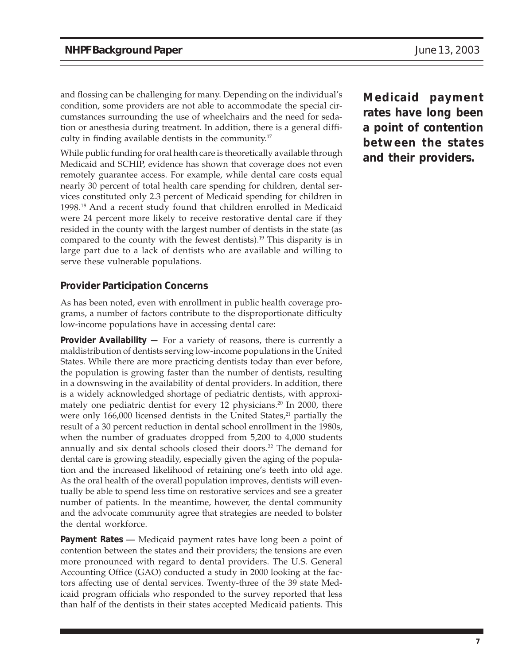and flossing can be challenging for many. Depending on the individual's condition, some providers are not able to accommodate the special circumstances surrounding the use of wheelchairs and the need for sedation or anesthesia during treatment. In addition, there is a general difficulty in finding available dentists in the community.17

While public funding for oral health care is theoretically available through Medicaid and SCHIP, evidence has shown that coverage does not even remotely guarantee access. For example, while dental care costs equal nearly 30 percent of total health care spending for children, dental services constituted only 2.3 percent of Medicaid spending for children in 1998.18 And a recent study found that children enrolled in Medicaid were 24 percent more likely to receive restorative dental care if they resided in the county with the largest number of dentists in the state (as compared to the county with the fewest dentists).19 This disparity is in large part due to a lack of dentists who are available and willing to serve these vulnerable populations.

#### **Provider Participation Concerns**

As has been noted, even with enrollment in public health coverage programs, a number of factors contribute to the disproportionate difficulty low-income populations have in accessing dental care:

**Provider Availability —** For a variety of reasons, there is currently a maldistribution of dentists serving low-income populations in the United States. While there are more practicing dentists today than ever before, the population is growing faster than the number of dentists, resulting in a downswing in the availability of dental providers. In addition, there is a widely acknowledged shortage of pediatric dentists, with approximately one pediatric dentist for every 12 physicians.<sup>20</sup> In 2000, there were only  $166,000$  licensed dentists in the United States, $21$  partially the result of a 30 percent reduction in dental school enrollment in the 1980s, when the number of graduates dropped from 5,200 to 4,000 students annually and six dental schools closed their doors.<sup>22</sup> The demand for dental care is growing steadily, especially given the aging of the population and the increased likelihood of retaining one's teeth into old age. As the oral health of the overall population improves, dentists will eventually be able to spend less time on restorative services and see a greater number of patients. In the meantime, however, the dental community and the advocate community agree that strategies are needed to bolster the dental workforce.

**Payment Rates —** Medicaid payment rates have long been a point of contention between the states and their providers; the tensions are even more pronounced with regard to dental providers. The U.S. General Accounting Office (GAO) conducted a study in 2000 looking at the factors affecting use of dental services. Twenty-three of the 39 state Medicaid program officials who responded to the survey reported that less than half of the dentists in their states accepted Medicaid patients. This

**Medicaid payment rates have long been a point of contention between the states and their providers.**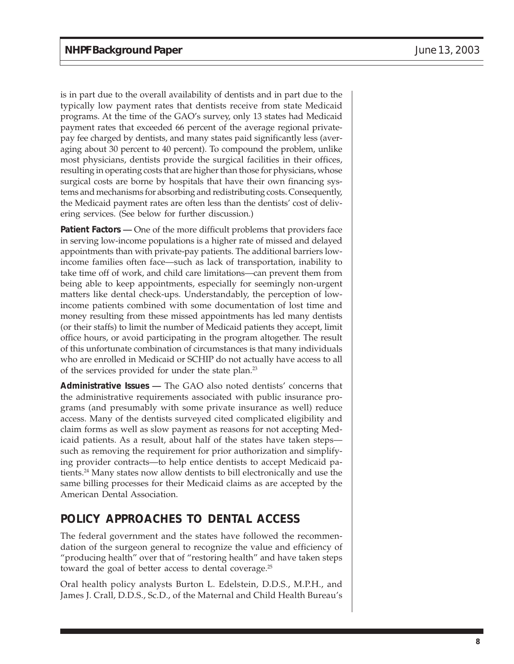is in part due to the overall availability of dentists and in part due to the typically low payment rates that dentists receive from state Medicaid programs. At the time of the GAO's survey, only 13 states had Medicaid payment rates that exceeded 66 percent of the average regional privatepay fee charged by dentists, and many states paid significantly less (averaging about 30 percent to 40 percent). To compound the problem, unlike most physicians, dentists provide the surgical facilities in their offices, resulting in operating costs that are higher than those for physicians, whose surgical costs are borne by hospitals that have their own financing systems and mechanisms for absorbing and redistributing costs. Consequently, the Medicaid payment rates are often less than the dentists' cost of delivering services. (See below for further discussion.)

**Patient Factors** — One of the more difficult problems that providers face in serving low-income populations is a higher rate of missed and delayed appointments than with private-pay patients. The additional barriers lowincome families often face—such as lack of transportation, inability to take time off of work, and child care limitations—can prevent them from being able to keep appointments, especially for seemingly non-urgent matters like dental check-ups. Understandably, the perception of lowincome patients combined with some documentation of lost time and money resulting from these missed appointments has led many dentists (or their staffs) to limit the number of Medicaid patients they accept, limit office hours, or avoid participating in the program altogether. The result of this unfortunate combination of circumstances is that many individuals who are enrolled in Medicaid or SCHIP do not actually have access to all of the services provided for under the state plan.23

**Administrative Issues —** The GAO also noted dentists' concerns that the administrative requirements associated with public insurance programs (and presumably with some private insurance as well) reduce access. Many of the dentists surveyed cited complicated eligibility and claim forms as well as slow payment as reasons for not accepting Medicaid patients. As a result, about half of the states have taken steps such as removing the requirement for prior authorization and simplifying provider contracts—to help entice dentists to accept Medicaid patients.24 Many states now allow dentists to bill electronically and use the same billing processes for their Medicaid claims as are accepted by the American Dental Association.

# **POLICY APPROACHES TO DENTAL ACCESS**

The federal government and the states have followed the recommendation of the surgeon general to recognize the value and efficiency of "producing health" over that of "restoring health" and have taken steps toward the goal of better access to dental coverage.<sup>25</sup>

Oral health policy analysts Burton L. Edelstein, D.D.S., M.P.H., and James J. Crall, D.D.S., Sc.D., of the Maternal and Child Health Bureau's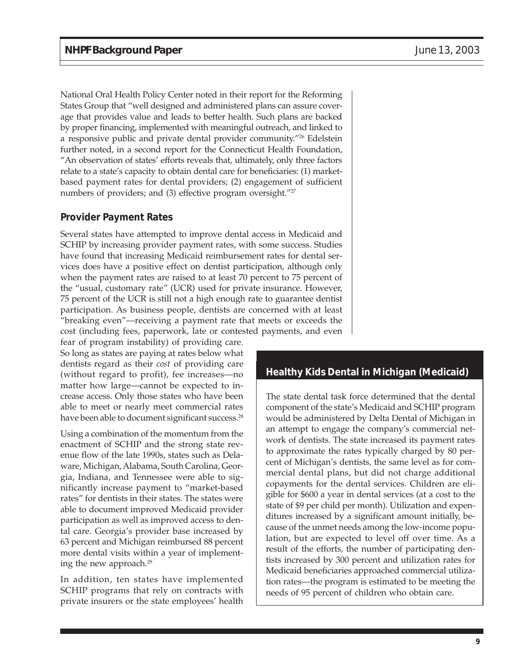National Oral Health Policy Center noted in their report for the Reforming States Group that "well designed and administered plans can assure coverage that provides value and leads to better health. Such plans are backed by proper financing, implemented with meaningful outreach, and linked to a responsive public and private dental provider community."26 Edelstein further noted, in a second report for the Connecticut Health Foundation, "An observation of states' efforts reveals that, ultimately, only three factors relate to a state's capacity to obtain dental care for beneficiaries: (1) marketbased payment rates for dental providers; (2) engagement of sufficient numbers of providers; and (3) effective program oversight."<sup>27</sup>

#### **Provider Payment Rates**

Several states have attempted to improve dental access in Medicaid and SCHIP by increasing provider payment rates, with some success. Studies have found that increasing Medicaid reimbursement rates for dental services does have a positive effect on dentist participation, although only when the payment rates are raised to at least 70 percent to 75 percent of the "usual, customary rate" (UCR) used for private insurance. However, 75 percent of the UCR is still not a high enough rate to guarantee dentist participation. As business people, dentists are concerned with at least "breaking even"—receiving a payment rate that meets or exceeds the cost (including fees, paperwork, late or contested payments, and even

fear of program instability) of providing care. So long as states are paying at rates below what dentists regard as their *cost* of providing care (without regard to profit), fee increases—no matter how large—cannot be expected to increase access. Only those states who have been able to meet or nearly meet commercial rates have been able to document significant success.<sup>28</sup>

Using a combination of the momentum from the enactment of SCHIP and the strong state revenue flow of the late 1990s, states such as Delaware, Michigan, Alabama, South Carolina, Georgia, Indiana, and Tennessee were able to significantly increase payment to "market-based rates" for dentists in their states. The states were able to document improved Medicaid provider participation as well as improved access to dental care. Georgia's provider base increased by 63 percent and Michigan reimbursed 88 percent more dental visits within a year of implementing the new approach.29

In addition, ten states have implemented SCHIP programs that rely on contracts with private insurers or the state employees' health

#### **Healthy Kids Dental in Michigan (Medicaid)**

The state dental task force determined that the dental component of the state's Medicaid and SCHIP program would be administered by Delta Dental of Michigan in an attempt to engage the company's commercial network of dentists. The state increased its payment rates to approximate the rates typically charged by 80 percent of Michigan's dentists, the same level as for commercial dental plans, but did not charge additional copayments for the dental services. Children are eligible for \$600 a year in dental services (at a cost to the state of \$9 per child per month). Utilization and expenditures increased by a significant amount initially, because of the unmet needs among the low-income population, but are expected to level off over time. As a result of the efforts, the number of participating dentists increased by 300 percent and utilization rates for Medicaid beneficiaries approached commercial utilization rates—the program is estimated to be meeting the needs of 95 percent of children who obtain care.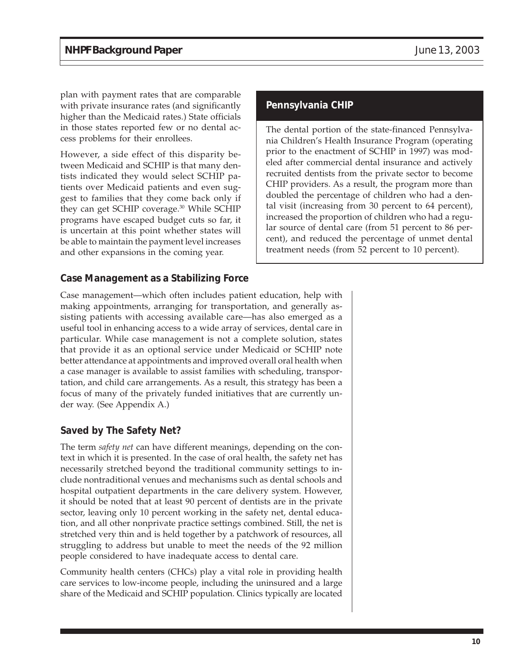plan with payment rates that are comparable with private insurance rates (and significantly higher than the Medicaid rates.) State officials in those states reported few or no dental access problems for their enrollees.

However, a side effect of this disparity between Medicaid and SCHIP is that many dentists indicated they would select SCHIP patients over Medicaid patients and even suggest to families that they come back only if they can get SCHIP coverage.<sup>30</sup> While SCHIP programs have escaped budget cuts so far, it is uncertain at this point whether states will be able to maintain the payment level increases and other expansions in the coming year.

#### **Case Management as a Stabilizing Force**

Case management—which often includes patient education, help with making appointments, arranging for transportation, and generally assisting patients with accessing available care—has also emerged as a useful tool in enhancing access to a wide array of services, dental care in particular. While case management is not a complete solution, states that provide it as an optional service under Medicaid or SCHIP note better attendance at appointments and improved overall oral health when a case manager is available to assist families with scheduling, transportation, and child care arrangements. As a result, this strategy has been a focus of many of the privately funded initiatives that are currently under way. (See Appendix A.)

### **Saved by The Safety Net?**

The term *safety net* can have different meanings, depending on the context in which it is presented. In the case of oral health, the safety net has necessarily stretched beyond the traditional community settings to include nontraditional venues and mechanisms such as dental schools and hospital outpatient departments in the care delivery system. However, it should be noted that at least 90 percent of dentists are in the private sector, leaving only 10 percent working in the safety net, dental education, and all other nonprivate practice settings combined. Still, the net is stretched very thin and is held together by a patchwork of resources, all struggling to address but unable to meet the needs of the 92 million people considered to have inadequate access to dental care.

Community health centers (CHCs) play a vital role in providing health care services to low-income people, including the uninsured and a large share of the Medicaid and SCHIP population. Clinics typically are located

#### **Pennsylvania CHIP**

The dental portion of the state-financed Pennsylvania Children's Health Insurance Program (operating prior to the enactment of SCHIP in 1997) was modeled after commercial dental insurance and actively recruited dentists from the private sector to become CHIP providers. As a result, the program more than doubled the percentage of children who had a dental visit (increasing from 30 percent to 64 percent), increased the proportion of children who had a regular source of dental care (from 51 percent to 86 percent), and reduced the percentage of unmet dental treatment needs (from 52 percent to 10 percent).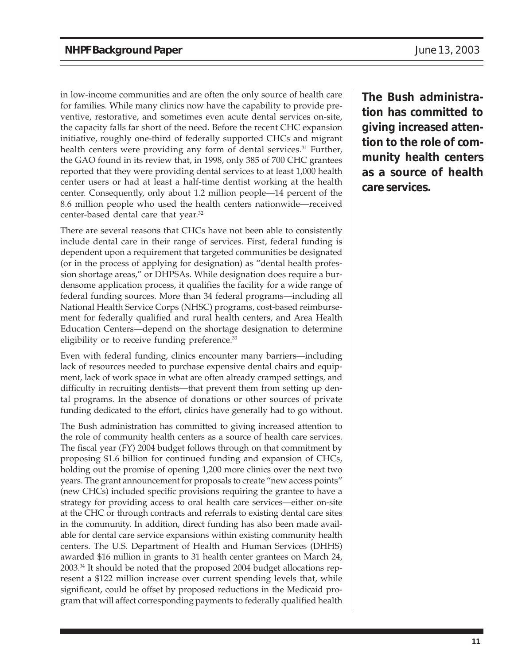in low-income communities and are often the only source of health care for families. While many clinics now have the capability to provide preventive, restorative, and sometimes even acute dental services on-site, the capacity falls far short of the need. Before the recent CHC expansion initiative, roughly one-third of federally supported CHCs and migrant health centers were providing any form of dental services.<sup>31</sup> Further, the GAO found in its review that, in 1998, only 385 of 700 CHC grantees reported that they were providing dental services to at least 1,000 health center users or had at least a half-time dentist working at the health center. Consequently, only about 1.2 million people—14 percent of the 8.6 million people who used the health centers nationwide—received center-based dental care that year.32

There are several reasons that CHCs have not been able to consistently include dental care in their range of services. First, federal funding is dependent upon a requirement that targeted communities be designated (or in the process of applying for designation) as "dental health profession shortage areas," or DHPSAs. While designation does require a burdensome application process, it qualifies the facility for a wide range of federal funding sources. More than 34 federal programs—including all National Health Service Corps (NHSC) programs, cost-based reimbursement for federally qualified and rural health centers, and Area Health Education Centers—depend on the shortage designation to determine eligibility or to receive funding preference.<sup>33</sup>

Even with federal funding, clinics encounter many barriers—including lack of resources needed to purchase expensive dental chairs and equipment, lack of work space in what are often already cramped settings, and difficulty in recruiting dentists—that prevent them from setting up dental programs. In the absence of donations or other sources of private funding dedicated to the effort, clinics have generally had to go without.

The Bush administration has committed to giving increased attention to the role of community health centers as a source of health care services. The fiscal year (FY) 2004 budget follows through on that commitment by proposing \$1.6 billion for continued funding and expansion of CHCs, holding out the promise of opening 1,200 more clinics over the next two years. The grant announcement for proposals to create "new access points" (new CHCs) included specific provisions requiring the grantee to have a strategy for providing access to oral health care services—either on-site at the CHC or through contracts and referrals to existing dental care sites in the community. In addition, direct funding has also been made available for dental care service expansions within existing community health centers. The U.S. Department of Health and Human Services (DHHS) awarded \$16 million in grants to 31 health center grantees on March 24, 2003.34 It should be noted that the proposed 2004 budget allocations represent a \$122 million increase over current spending levels that, while significant, could be offset by proposed reductions in the Medicaid program that will affect corresponding payments to federally qualified health

**The Bush administration has committed to giving increased attention to the role of community health centers as a source of health care services.**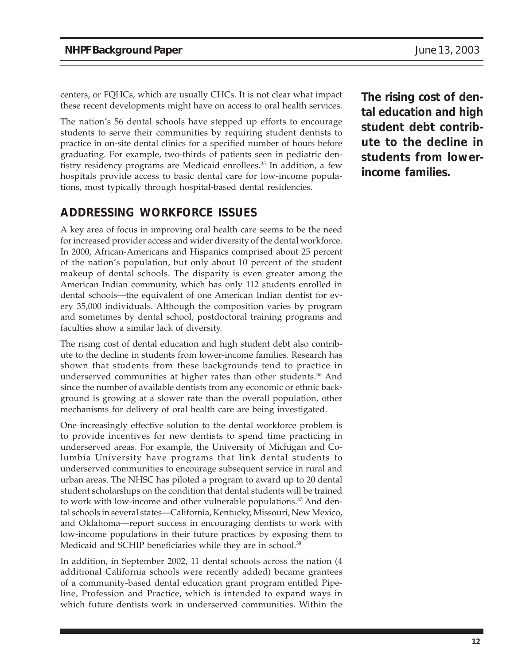centers, or FQHCs, which are usually CHCs. It is not clear what impact these recent developments might have on access to oral health services.

The nation's 56 dental schools have stepped up efforts to encourage students to serve their communities by requiring student dentists to practice in on-site dental clinics for a specified number of hours before graduating. For example, two-thirds of patients seen in pediatric dentistry residency programs are Medicaid enrollees.<sup>35</sup> In addition, a few hospitals provide access to basic dental care for low-income populations, most typically through hospital-based dental residencies.

# **ADDRESSING WORKFORCE ISSUES**

A key area of focus in improving oral health care seems to be the need for increased provider access and wider diversity of the dental workforce. In 2000, African-Americans and Hispanics comprised about 25 percent of the nation's population, but only about 10 percent of the student makeup of dental schools. The disparity is even greater among the American Indian community, which has only 112 students enrolled in dental schools—the equivalent of one American Indian dentist for every 35,000 individuals. Although the composition varies by program and sometimes by dental school, postdoctoral training programs and faculties show a similar lack of diversity.

The rising cost of dental education and high student debt also contribute to the decline in students from lower-income families. Research has shown that students from these backgrounds tend to practice in underserved communities at higher rates than other students.<sup>36</sup> And since the number of available dentists from any economic or ethnic background is growing at a slower rate than the overall population, other mechanisms for delivery of oral health care are being investigated.

One increasingly effective solution to the dental workforce problem is to provide incentives for new dentists to spend time practicing in underserved areas. For example, the University of Michigan and Columbia University have programs that link dental students to underserved communities to encourage subsequent service in rural and urban areas. The NHSC has piloted a program to award up to 20 dental student scholarships on the condition that dental students will be trained to work with low-income and other vulnerable populations.<sup>37</sup> And dental schools in several states—California, Kentucky, Missouri, New Mexico, and Oklahoma—report success in encouraging dentists to work with low-income populations in their future practices by exposing them to Medicaid and SCHIP beneficiaries while they are in school.<sup>38</sup>

In addition, in September 2002, 11 dental schools across the nation (4 additional California schools were recently added) became grantees of a community-based dental education grant program entitled Pipeline, Profession and Practice, which is intended to expand ways in which future dentists work in underserved communities. Within the

**The rising cost of dental education and high student debt contribute to the decline in students from lowerincome families.**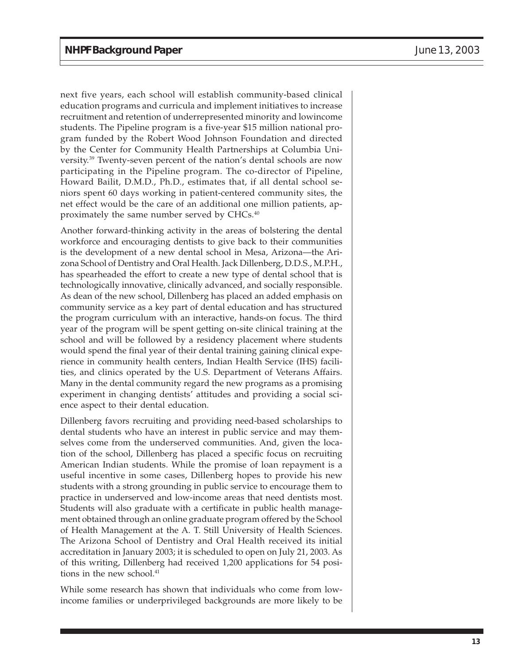next five years, each school will establish community-based clinical education programs and curricula and implement initiatives to increase recruitment and retention of underrepresented minority and lowincome students. The Pipeline program is a five-year \$15 million national program funded by the Robert Wood Johnson Foundation and directed by the Center for Community Health Partnerships at Columbia University.39 Twenty-seven percent of the nation's dental schools are now participating in the Pipeline program. The co-director of Pipeline, Howard Bailit, D.M.D., Ph.D., estimates that, if all dental school seniors spent 60 days working in patient-centered community sites, the net effect would be the care of an additional one million patients, approximately the same number served by CHCs.40

Another forward-thinking activity in the areas of bolstering the dental workforce and encouraging dentists to give back to their communities is the development of a new dental school in Mesa, Arizona—the Arizona School of Dentistry and Oral Health. Jack Dillenberg, D.D.S., M.P.H., has spearheaded the effort to create a new type of dental school that is technologically innovative, clinically advanced, and socially responsible. As dean of the new school, Dillenberg has placed an added emphasis on community service as a key part of dental education and has structured the program curriculum with an interactive, hands-on focus. The third year of the program will be spent getting on-site clinical training at the school and will be followed by a residency placement where students would spend the final year of their dental training gaining clinical experience in community health centers, Indian Health Service (IHS) facilities, and clinics operated by the U.S. Department of Veterans Affairs. Many in the dental community regard the new programs as a promising experiment in changing dentists' attitudes and providing a social science aspect to their dental education.

Dillenberg favors recruiting and providing need-based scholarships to dental students who have an interest in public service and may themselves come from the underserved communities. And, given the location of the school, Dillenberg has placed a specific focus on recruiting American Indian students. While the promise of loan repayment is a useful incentive in some cases, Dillenberg hopes to provide his new students with a strong grounding in public service to encourage them to practice in underserved and low-income areas that need dentists most. Students will also graduate with a certificate in public health management obtained through an online graduate program offered by the School of Health Management at the A. T. Still University of Health Sciences. The Arizona School of Dentistry and Oral Health received its initial accreditation in January 2003; it is scheduled to open on July 21, 2003. As of this writing, Dillenberg had received 1,200 applications for 54 positions in the new school.<sup>41</sup>

While some research has shown that individuals who come from lowincome families or underprivileged backgrounds are more likely to be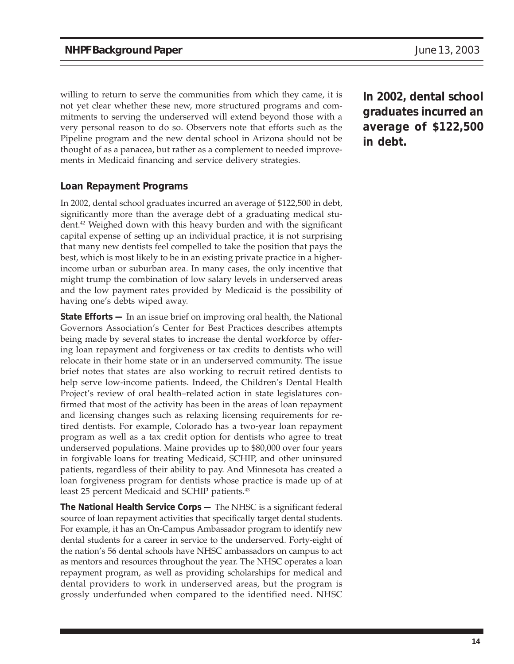willing to return to serve the communities from which they came, it is not yet clear whether these new, more structured programs and commitments to serving the underserved will extend beyond those with a very personal reason to do so. Observers note that efforts such as the Pipeline program and the new dental school in Arizona should not be thought of as a panacea, but rather as a complement to needed improvements in Medicaid financing and service delivery strategies.

#### **Loan Repayment Programs**

In 2002, dental school graduates incurred an average of \$122,500 in debt, significantly more than the average debt of a graduating medical student.<sup>42</sup> Weighed down with this heavy burden and with the significant capital expense of setting up an individual practice, it is not surprising that many new dentists feel compelled to take the position that pays the best, which is most likely to be in an existing private practice in a higherincome urban or suburban area. In many cases, the only incentive that might trump the combination of low salary levels in underserved areas and the low payment rates provided by Medicaid is the possibility of having one's debts wiped away.

**State Efforts —** In an issue brief on improving oral health, the National Governors Association's Center for Best Practices describes attempts being made by several states to increase the dental workforce by offering loan repayment and forgiveness or tax credits to dentists who will relocate in their home state or in an underserved community. The issue brief notes that states are also working to recruit retired dentists to help serve low-income patients. Indeed, the Children's Dental Health Project's review of oral health–related action in state legislatures confirmed that most of the activity has been in the areas of loan repayment and licensing changes such as relaxing licensing requirements for retired dentists. For example, Colorado has a two-year loan repayment program as well as a tax credit option for dentists who agree to treat underserved populations. Maine provides up to \$80,000 over four years in forgivable loans for treating Medicaid, SCHIP, and other uninsured patients, regardless of their ability to pay. And Minnesota has created a loan forgiveness program for dentists whose practice is made up of at least 25 percent Medicaid and SCHIP patients.<sup>43</sup>

**The National Health Service Corps —** The NHSC is a significant federal source of loan repayment activities that specifically target dental students. For example, it has an On-Campus Ambassador program to identify new dental students for a career in service to the underserved. Forty-eight of the nation's 56 dental schools have NHSC ambassadors on campus to act as mentors and resources throughout the year. The NHSC operates a loan repayment program, as well as providing scholarships for medical and dental providers to work in underserved areas, but the program is grossly underfunded when compared to the identified need. NHSC

**In 2002, dental school graduates incurred an average of \$122,500 in debt.**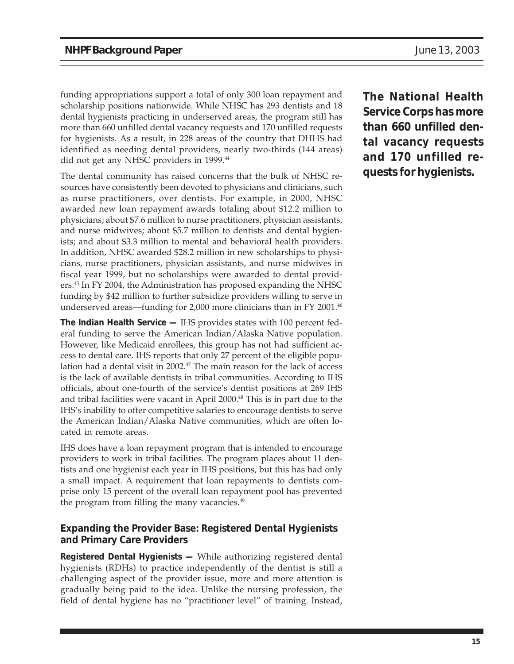funding appropriations support a total of only 300 loan repayment and scholarship positions nationwide. While NHSC has 293 dentists and 18 dental hygienists practicing in underserved areas, the program still has more than 660 unfilled dental vacancy requests and 170 unfilled requests for hygienists. As a result, in 228 areas of the country that DHHS had identified as needing dental providers, nearly two-thirds (144 areas) did not get any NHSC providers in 1999.<sup>44</sup>

The dental community has raised concerns that the bulk of NHSC resources have consistently been devoted to physicians and clinicians, such as nurse practitioners, over dentists. For example, in 2000, NHSC awarded new loan repayment awards totaling about \$12.2 million to physicians; about \$7.6 million to nurse practitioners, physician assistants, and nurse midwives; about \$5.7 million to dentists and dental hygienists; and about \$3.3 million to mental and behavioral health providers. In addition, NHSC awarded \$28.2 million in new scholarships to physicians, nurse practitioners, physician assistants, and nurse midwives in fiscal year 1999, but no scholarships were awarded to dental providers.45 In FY 2004, the Administration has proposed expanding the NHSC funding by \$42 million to further subsidize providers willing to serve in underserved areas—funding for 2,000 more clinicians than in FY 2001.<sup>46</sup>

**The Indian Health Service —** IHS provides states with 100 percent federal funding to serve the American Indian/Alaska Native population. However, like Medicaid enrollees, this group has not had sufficient access to dental care. IHS reports that only 27 percent of the eligible population had a dental visit in 2002.<sup>47</sup> The main reason for the lack of access is the lack of available dentists in tribal communities. According to IHS officials, about one-fourth of the service's dentist positions at 269 IHS and tribal facilities were vacant in April 2000.<sup>48</sup> This is in part due to the IHS's inability to offer competitive salaries to encourage dentists to serve the American Indian/Alaska Native communities, which are often located in remote areas.

IHS does have a loan repayment program that is intended to encourage providers to work in tribal facilities. The program places about 11 dentists and one hygienist each year in IHS positions, but this has had only a small impact. A requirement that loan repayments to dentists comprise only 15 percent of the overall loan repayment pool has prevented the program from filling the many vacancies.<sup>49</sup>

#### **Expanding the Provider Base: Registered Dental Hygienists and Primary Care Providers**

**Registered Dental Hygienists —** While authorizing registered dental hygienists (RDHs) to practice independently of the dentist is still a challenging aspect of the provider issue, more and more attention is gradually being paid to the idea. Unlike the nursing profession, the field of dental hygiene has no "practitioner level" of training. Instead, **The National Health Service Corps has more than 660 unfilled dental vacancy requests and 170 unfilled requests for hygienists.**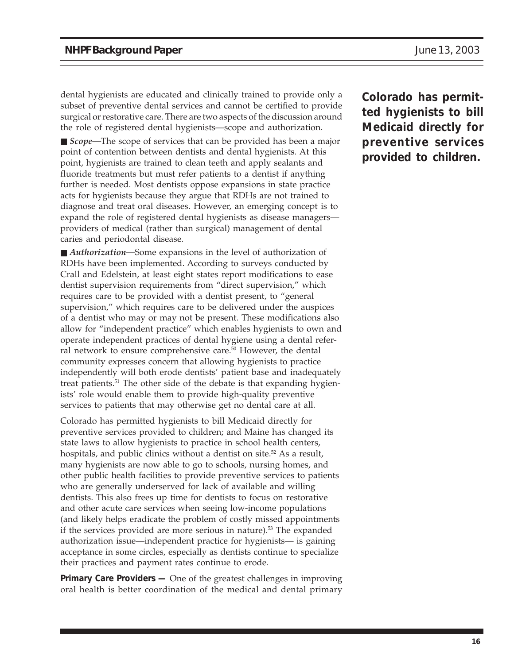dental hygienists are educated and clinically trained to provide only a subset of preventive dental services and cannot be certified to provide surgical or restorative care. There are two aspects of the discussion around the role of registered dental hygienists—scope and authorization.

■ *Scope*—The scope of services that can be provided has been a major point of contention between dentists and dental hygienists. At this point, hygienists are trained to clean teeth and apply sealants and fluoride treatments but must refer patients to a dentist if anything further is needed. Most dentists oppose expansions in state practice acts for hygienists because they argue that RDHs are not trained to diagnose and treat oral diseases. However, an emerging concept is to expand the role of registered dental hygienists as disease managers providers of medical (rather than surgical) management of dental caries and periodontal disease.

■ *Authorization*—Some expansions in the level of authorization of RDHs have been implemented. According to surveys conducted by Crall and Edelstein, at least eight states report modifications to ease dentist supervision requirements from "direct supervision," which requires care to be provided with a dentist present, to "general supervision," which requires care to be delivered under the auspices of a dentist who may or may not be present. These modifications also allow for "independent practice" which enables hygienists to own and operate independent practices of dental hygiene using a dental referral network to ensure comprehensive care.<sup>50</sup> However, the dental community expresses concern that allowing hygienists to practice independently will both erode dentists' patient base and inadequately treat patients.<sup>51</sup> The other side of the debate is that expanding hygienists' role would enable them to provide high-quality preventive services to patients that may otherwise get no dental care at all.

Colorado has permitted hygienists to bill Medicaid directly for preventive services provided to children; and Maine has changed its state laws to allow hygienists to practice in school health centers, hospitals, and public clinics without a dentist on site.<sup>52</sup> As a result, many hygienists are now able to go to schools, nursing homes, and other public health facilities to provide preventive services to patients who are generally underserved for lack of available and willing dentists. This also frees up time for dentists to focus on restorative and other acute care services when seeing low-income populations (and likely helps eradicate the problem of costly missed appointments if the services provided are more serious in nature).<sup>53</sup> The expanded authorization issue—independent practice for hygienists— is gaining acceptance in some circles, especially as dentists continue to specialize their practices and payment rates continue to erode.

**Primary Care Providers —** One of the greatest challenges in improving oral health is better coordination of the medical and dental primary **Colorado has permitted hygienists to bill Medicaid directly for preventive services provided to children.**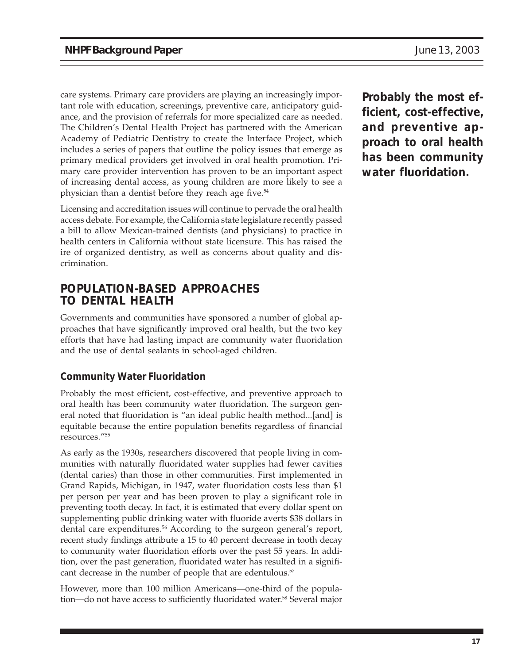care systems. Primary care providers are playing an increasingly important role with education, screenings, preventive care, anticipatory guidance, and the provision of referrals for more specialized care as needed. The Children's Dental Health Project has partnered with the American Academy of Pediatric Dentistry to create the Interface Project, which includes a series of papers that outline the policy issues that emerge as primary medical providers get involved in oral health promotion. Primary care provider intervention has proven to be an important aspect of increasing dental access, as young children are more likely to see a physician than a dentist before they reach age five.<sup>54</sup>

Licensing and accreditation issues will continue to pervade the oral health access debate. For example, the California state legislature recently passed a bill to allow Mexican-trained dentists (and physicians) to practice in health centers in California without state licensure. This has raised the ire of organized dentistry, as well as concerns about quality and discrimination.

### **POPULATION-BASED APPROACHES TO DENTAL HEALTH**

Governments and communities have sponsored a number of global approaches that have significantly improved oral health, but the two key efforts that have had lasting impact are community water fluoridation and the use of dental sealants in school-aged children.

#### **Community Water Fluoridation**

Probably the most efficient, cost-effective, and preventive approach to oral health has been community water fluoridation. The surgeon general noted that fluoridation is "an ideal public health method...[and] is equitable because the entire population benefits regardless of financial resources."55

As early as the 1930s, researchers discovered that people living in communities with naturally fluoridated water supplies had fewer cavities (dental caries) than those in other communities. First implemented in Grand Rapids, Michigan, in 1947, water fluoridation costs less than \$1 per person per year and has been proven to play a significant role in preventing tooth decay. In fact, it is estimated that every dollar spent on supplementing public drinking water with fluoride averts \$38 dollars in dental care expenditures.<sup>56</sup> According to the surgeon general's report, recent study findings attribute a 15 to 40 percent decrease in tooth decay to community water fluoridation efforts over the past 55 years. In addition, over the past generation, fluoridated water has resulted in a significant decrease in the number of people that are edentulous.<sup>57</sup>

However, more than 100 million Americans—one-third of the population—do not have access to sufficiently fluoridated water.<sup>58</sup> Several major **Probably the most efficient, cost-effective, and preventive approach to oral health has been community water fluoridation.**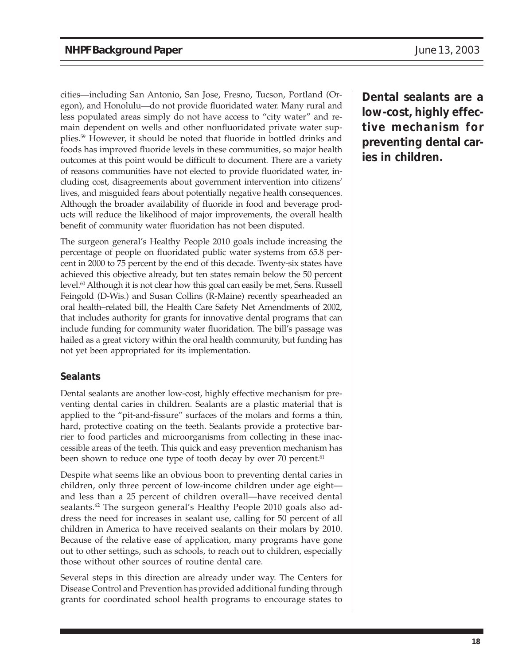cities—including San Antonio, San Jose, Fresno, Tucson, Portland (Oregon), and Honolulu—do not provide fluoridated water. Many rural and less populated areas simply do not have access to "city water" and remain dependent on wells and other nonfluoridated private water supplies.59 However, it should be noted that fluoride in bottled drinks and foods has improved fluoride levels in these communities, so major health outcomes at this point would be difficult to document. There are a variety of reasons communities have not elected to provide fluoridated water, including cost, disagreements about government intervention into citizens' lives, and misguided fears about potentially negative health consequences. Although the broader availability of fluoride in food and beverage products will reduce the likelihood of major improvements, the overall health benefit of community water fluoridation has not been disputed.

The surgeon general's Healthy People 2010 goals include increasing the percentage of people on fluoridated public water systems from 65.8 percent in 2000 to 75 percent by the end of this decade. Twenty-six states have achieved this objective already, but ten states remain below the 50 percent level.<sup>60</sup> Although it is not clear how this goal can easily be met, Sens. Russell Feingold (D-Wis.) and Susan Collins (R-Maine) recently spearheaded an oral health–related bill, the Health Care Safety Net Amendments of 2002, that includes authority for grants for innovative dental programs that can include funding for community water fluoridation. The bill's passage was hailed as a great victory within the oral health community, but funding has not yet been appropriated for its implementation.

#### **Sealants**

Dental sealants are another low-cost, highly effective mechanism for preventing dental caries in children. Sealants are a plastic material that is applied to the "pit-and-fissure" surfaces of the molars and forms a thin, hard, protective coating on the teeth. Sealants provide a protective barrier to food particles and microorganisms from collecting in these inaccessible areas of the teeth. This quick and easy prevention mechanism has been shown to reduce one type of tooth decay by over 70 percent.<sup>61</sup>

Despite what seems like an obvious boon to preventing dental caries in children, only three percent of low-income children under age eight and less than a 25 percent of children overall—have received dental sealants.<sup>62</sup> The surgeon general's Healthy People 2010 goals also address the need for increases in sealant use, calling for 50 percent of all children in America to have received sealants on their molars by 2010. Because of the relative ease of application, many programs have gone out to other settings, such as schools, to reach out to children, especially those without other sources of routine dental care.

Several steps in this direction are already under way. The Centers for Disease Control and Prevention has provided additional funding through grants for coordinated school health programs to encourage states to **Dental sealants are a low-cost, highly effective mechanism for preventing dental caries in children.**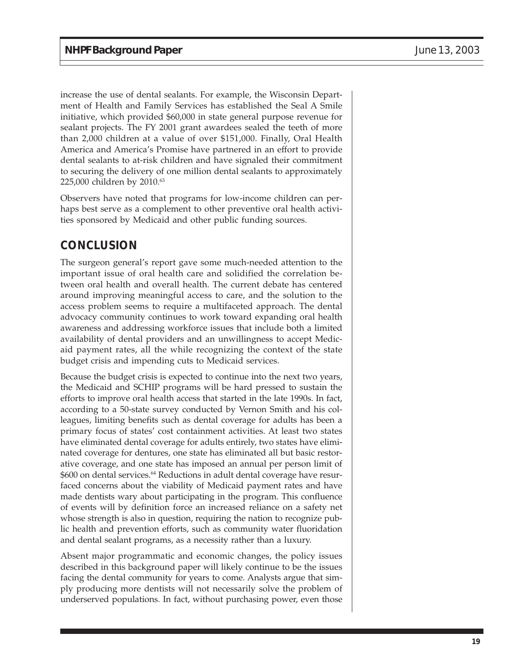increase the use of dental sealants. For example, the Wisconsin Department of Health and Family Services has established the Seal A Smile initiative, which provided \$60,000 in state general purpose revenue for sealant projects. The FY 2001 grant awardees sealed the teeth of more than 2,000 children at a value of over \$151,000. Finally, Oral Health America and America's Promise have partnered in an effort to provide dental sealants to at-risk children and have signaled their commitment to securing the delivery of one million dental sealants to approximately 225,000 children by 2010.<sup>63</sup>

Observers have noted that programs for low-income children can perhaps best serve as a complement to other preventive oral health activities sponsored by Medicaid and other public funding sources.

# **CONCLUSION**

The surgeon general's report gave some much-needed attention to the important issue of oral health care and solidified the correlation between oral health and overall health. The current debate has centered around improving meaningful access to care, and the solution to the access problem seems to require a multifaceted approach. The dental advocacy community continues to work toward expanding oral health awareness and addressing workforce issues that include both a limited availability of dental providers and an unwillingness to accept Medicaid payment rates, all the while recognizing the context of the state budget crisis and impending cuts to Medicaid services.

Because the budget crisis is expected to continue into the next two years, the Medicaid and SCHIP programs will be hard pressed to sustain the efforts to improve oral health access that started in the late 1990s. In fact, according to a 50-state survey conducted by Vernon Smith and his colleagues, limiting benefits such as dental coverage for adults has been a primary focus of states' cost containment activities. At least two states have eliminated dental coverage for adults entirely, two states have eliminated coverage for dentures, one state has eliminated all but basic restorative coverage, and one state has imposed an annual per person limit of \$600 on dental services.<sup>64</sup> Reductions in adult dental coverage have resurfaced concerns about the viability of Medicaid payment rates and have made dentists wary about participating in the program. This confluence of events will by definition force an increased reliance on a safety net whose strength is also in question, requiring the nation to recognize public health and prevention efforts, such as community water fluoridation and dental sealant programs, as a necessity rather than a luxury.

Absent major programmatic and economic changes, the policy issues described in this background paper will likely continue to be the issues facing the dental community for years to come. Analysts argue that simply producing more dentists will not necessarily solve the problem of underserved populations. In fact, without purchasing power, even those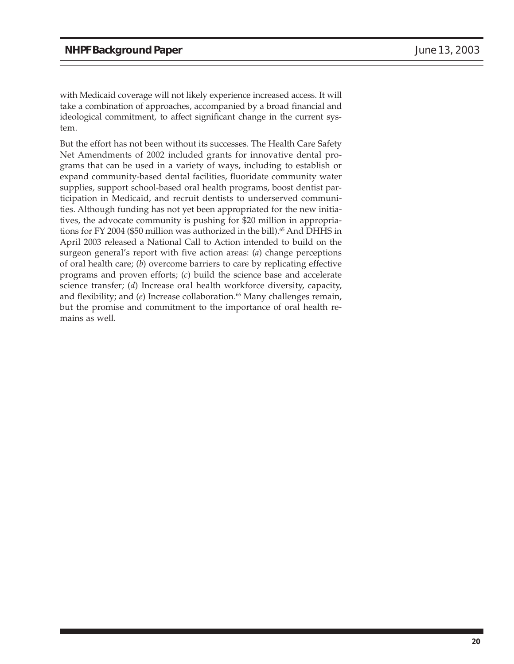with Medicaid coverage will not likely experience increased access. It will take a combination of approaches, accompanied by a broad financial and ideological commitment, to affect significant change in the current system.

But the effort has not been without its successes. The Health Care Safety Net Amendments of 2002 included grants for innovative dental programs that can be used in a variety of ways, including to establish or expand community-based dental facilities, fluoridate community water supplies, support school-based oral health programs, boost dentist participation in Medicaid, and recruit dentists to underserved communities. Although funding has not yet been appropriated for the new initiatives, the advocate community is pushing for \$20 million in appropriations for FY 2004 (\$50 million was authorized in the bill).<sup>65</sup> And DHHS in April 2003 released a National Call to Action intended to build on the surgeon general's report with five action areas: (*a*) change perceptions of oral health care; (*b*) overcome barriers to care by replicating effective programs and proven efforts; (*c*) build the science base and accelerate science transfer; (*d*) Increase oral health workforce diversity, capacity, and flexibility; and  $(e)$  Increase collaboration.<sup>66</sup> Many challenges remain, but the promise and commitment to the importance of oral health remains as well.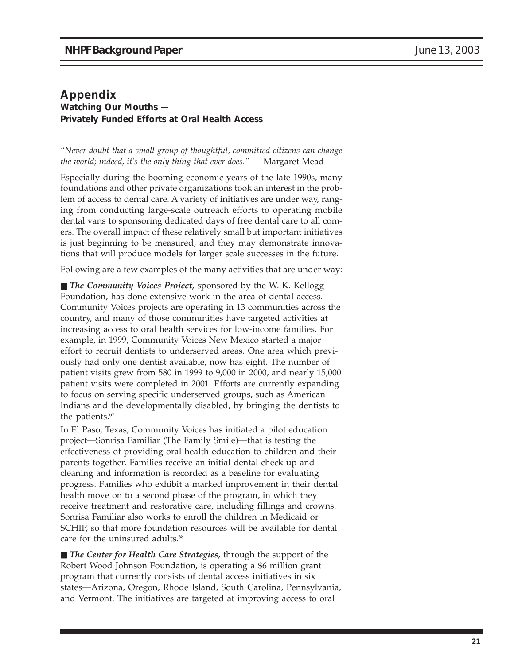#### **Appendix Watching Our Mouths — Privately Funded Efforts at Oral Health Access**

*"Never doubt that a small group of thoughtful, committed citizens can change the world; indeed, it's the only thing that ever does." —* Margaret Mead

Especially during the booming economic years of the late 1990s, many foundations and other private organizations took an interest in the problem of access to dental care. A variety of initiatives are under way, ranging from conducting large-scale outreach efforts to operating mobile dental vans to sponsoring dedicated days of free dental care to all comers. The overall impact of these relatively small but important initiatives is just beginning to be measured, and they may demonstrate innovations that will produce models for larger scale successes in the future.

Following are a few examples of the many activities that are under way:

■ *The Community Voices Project,* sponsored by the W. K. Kellogg Foundation, has done extensive work in the area of dental access. Community Voices projects are operating in 13 communities across the country, and many of those communities have targeted activities at increasing access to oral health services for low-income families. For example, in 1999, Community Voices New Mexico started a major effort to recruit dentists to underserved areas. One area which previously had only one dentist available, now has eight. The number of patient visits grew from 580 in 1999 to 9,000 in 2000, and nearly 15,000 patient visits were completed in 2001. Efforts are currently expanding to focus on serving specific underserved groups, such as American Indians and the developmentally disabled, by bringing the dentists to the patients.<sup>67</sup>

In El Paso, Texas, Community Voices has initiated a pilot education project—Sonrisa Familiar (The Family Smile)—that is testing the effectiveness of providing oral health education to children and their parents together. Families receive an initial dental check-up and cleaning and information is recorded as a baseline for evaluating progress. Families who exhibit a marked improvement in their dental health move on to a second phase of the program, in which they receive treatment and restorative care, including fillings and crowns. Sonrisa Familiar also works to enroll the children in Medicaid or SCHIP, so that more foundation resources will be available for dental care for the uninsured adults.<sup>68</sup>

■ *The Center for Health Care Strategies,* through the support of the Robert Wood Johnson Foundation, is operating a \$6 million grant program that currently consists of dental access initiatives in six states—Arizona, Oregon, Rhode Island, South Carolina, Pennsylvania, and Vermont. The initiatives are targeted at improving access to oral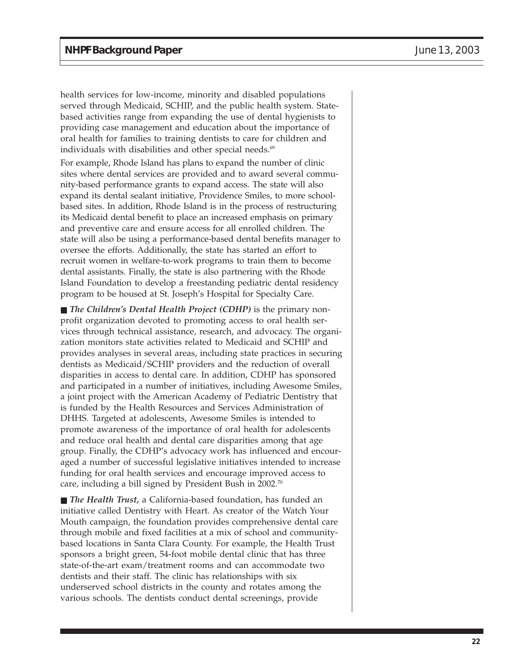health services for low-income, minority and disabled populations served through Medicaid, SCHIP, and the public health system. Statebased activities range from expanding the use of dental hygienists to providing case management and education about the importance of oral health for families to training dentists to care for children and individuals with disabilities and other special needs. $69$ 

For example, Rhode Island has plans to expand the number of clinic sites where dental services are provided and to award several community-based performance grants to expand access. The state will also expand its dental sealant initiative, Providence Smiles, to more schoolbased sites. In addition, Rhode Island is in the process of restructuring its Medicaid dental benefit to place an increased emphasis on primary and preventive care and ensure access for all enrolled children. The state will also be using a performance-based dental benefits manager to oversee the efforts. Additionally, the state has started an effort to recruit women in welfare-to-work programs to train them to become dental assistants. Finally, the state is also partnering with the Rhode Island Foundation to develop a freestanding pediatric dental residency program to be housed at St. Joseph's Hospital for Specialty Care.

■ *The Children's Dental Health Project (CDHP)* is the primary nonprofit organization devoted to promoting access to oral health services through technical assistance, research, and advocacy. The organization monitors state activities related to Medicaid and SCHIP and provides analyses in several areas, including state practices in securing dentists as Medicaid/SCHIP providers and the reduction of overall disparities in access to dental care. In addition, CDHP has sponsored and participated in a number of initiatives, including Awesome Smiles, a joint project with the American Academy of Pediatric Dentistry that is funded by the Health Resources and Services Administration of DHHS. Targeted at adolescents, Awesome Smiles is intended to promote awareness of the importance of oral health for adolescents and reduce oral health and dental care disparities among that age group. Finally, the CDHP's advocacy work has influenced and encouraged a number of successful legislative initiatives intended to increase funding for oral health services and encourage improved access to care, including a bill signed by President Bush in 2002.70

■ *The Health Trust,* a California-based foundation, has funded an initiative called Dentistry with Heart. As creator of the Watch Your Mouth campaign, the foundation provides comprehensive dental care through mobile and fixed facilities at a mix of school and communitybased locations in Santa Clara County. For example, the Health Trust sponsors a bright green, 54-foot mobile dental clinic that has three state-of-the-art exam/treatment rooms and can accommodate two dentists and their staff. The clinic has relationships with six underserved school districts in the county and rotates among the various schools. The dentists conduct dental screenings, provide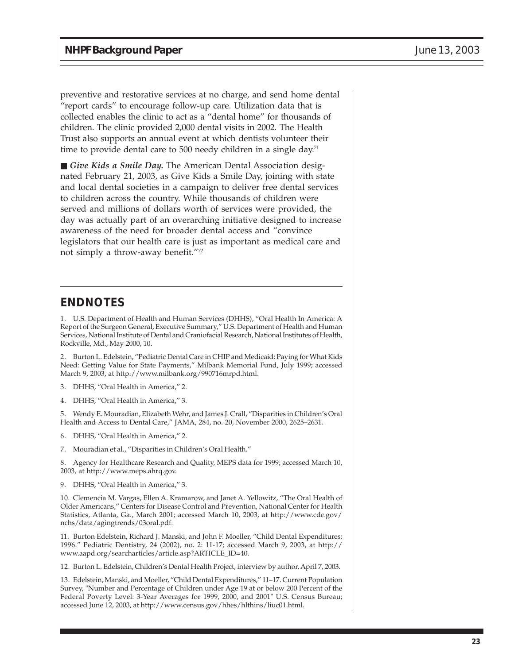preventive and restorative services at no charge, and send home dental "report cards" to encourage follow-up care. Utilization data that is collected enables the clinic to act as a "dental home" for thousands of children. The clinic provided 2,000 dental visits in 2002. The Health Trust also supports an annual event at which dentists volunteer their time to provide dental care to 500 needy children in a single day.<sup>71</sup>

■ *Give Kids a Smile Day*. The American Dental Association designated February 21, 2003, as Give Kids a Smile Day, joining with state and local dental societies in a campaign to deliver free dental services to children across the country. While thousands of children were served and millions of dollars worth of services were provided, the day was actually part of an overarching initiative designed to increase awareness of the need for broader dental access and "convince legislators that our health care is just as important as medical care and not simply a throw-away benefit."72

#### **ENDNOTES**

1. U.S. Department of Health and Human Services (DHHS), "Oral Health In America: A Report of the Surgeon General, Executive Summary," U.S. Department of Health and Human Services, National Institute of Dental and Craniofacial Research, National Institutes of Health, Rockville, Md., May 2000, 10.

2. Burton L. Edelstein, "Pediatric Dental Care in CHIP and Medicaid: Paying for What Kids Need: Getting Value for State Payments," Milbank Memorial Fund, July 1999; accessed March 9, 2003, at http://www.milbank.org/990716mrpd.html.

- 3. DHHS, "Oral Health in America," 2.
- 4. DHHS, "Oral Health in America," 3.

5. Wendy E. Mouradian, Elizabeth Wehr, and James J. Crall, "Disparities in Children's Oral Health and Access to Dental Care," JAMA, 284, no. 20, November 2000, 2625–2631.

- 6. DHHS, "Oral Health in America," 2.
- 7. Mouradian et al., "Disparities in Children's Oral Health."

8. Agency for Healthcare Research and Quality, MEPS data for 1999; accessed March 10, 2003, at http://www.meps.ahrq.gov.

9. DHHS, "Oral Health in America," 3.

10. Clemencia M. Vargas, Ellen A. Kramarow, and Janet A. Yellowitz, "The Oral Health of Older Americans," Centers for Disease Control and Prevention, National Center for Health Statistics, Atlanta, Ga., March 2001; accessed March 10, 2003, at http://www.cdc.gov/ nchs/data/agingtrends/03oral.pdf.

11. Burton Edelstein, Richard J. Manski, and John F. Moeller, "Child Dental Expenditures: 1996." Pediatric Dentistry, 24 (2002), no. 2: 11-17; accessed March 9, 2003, at http:// www.aapd.org/searcharticles/article.asp?ARTICLE\_ID=40.

12. Burton L. Edelstein, Children's Dental Health Project, interview by author, April 7, 2003.

13. Edelstein, Manski, and Moeller, "Child Dental Expenditures," 11–17. Current Population Survey, "Number and Percentage of Children under Age 19 at or below 200 Percent of the Federal Poverty Level: 3-Year Averages for 1999, 2000, and 2001" U.S. Census Bureau; accessed June 12, 2003, at http://www.census.gov/hhes/hlthins/liuc01.html.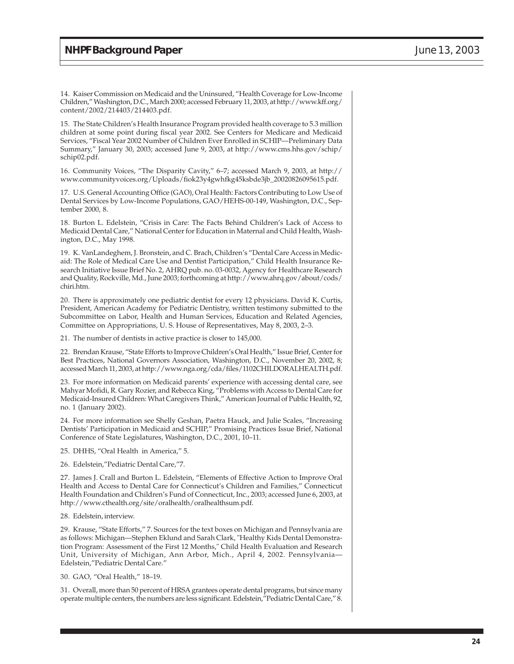14. Kaiser Commission on Medicaid and the Uninsured, "Health Coverage for Low-Income Children," Washington, D.C., March 2000; accessed February 11, 2003, at http://www.kff.org/ content/2002/214403/214403.pdf.

15. The State Children's Health Insurance Program provided health coverage to 5.3 million children at some point during fiscal year 2002. See Centers for Medicare and Medicaid Services, "Fiscal Year 2002 Number of Children Ever Enrolled in SCHIP—Preliminary Data Summary," January 30, 2003; accessed June 9, 2003, at http://www.cms.hhs.gov/schip/ schip02.pdf.

16. Community Voices, "The Disparity Cavity," 6–7; accessed March 9, 2003, at http:// www.communityvoices.org/Uploads/fiok23y4gwhfkg45ksbde3jb\_20020826095615.pdf.

17. U.S. General Accounting Office (GAO), Oral Health: Factors Contributing to Low Use of Dental Services by Low-Income Populations, GAO/HEHS-00-149, Washington, D.C., September 2000, 8.

18. Burton L. Edelstein, "Crisis in Care: The Facts Behind Children's Lack of Access to Medicaid Dental Care," National Center for Education in Maternal and Child Health, Washington, D.C., May 1998.

19. K. VanLandeghem, J. Bronstein, and C. Brach, Children's "Dental Care Access in Medicaid: The Role of Medical Care Use and Dentist Participation," Child Health Insurance Research Initiative Issue Brief No. 2, AHRQ pub. no. 03-0032, Agency for Healthcare Research and Quality, Rockville, Md., June 2003; forthcoming at http://www.ahrq.gov/about/cods/ chiri.htm.

20. There is approximately one pediatric dentist for every 12 physicians. David K. Curtis, President, American Academy for Pediatric Dentistry, written testimony submitted to the Subcommittee on Labor, Health and Human Services, Education and Related Agencies, Committee on Appropriations, U. S. House of Representatives, May 8, 2003, 2–3.

21. The number of dentists in active practice is closer to 145,000.

22. Brendan Krause, "State Efforts to Improve Children's Oral Health," Issue Brief, Center for Best Practices, National Governors Association, Washington, D.C., November 20, 2002, 8; accessed March 11, 2003, at http://www.nga.org/cda/files/1102CHILDORALHEALTH.pdf.

23. For more information on Medicaid parents' experience with accessing dental care, see Mahyar Mofidi, R. Gary Rozier, and Rebecca King, "Problems with Access to Dental Care for Medicaid-Insured Children: What Caregivers Think," American Journal of Public Health, 92, no. 1 (January 2002).

24. For more information see Shelly Geshan, Paetra Hauck, and Julie Scales, "Increasing Dentists' Participation in Medicaid and SCHIP," Promising Practices Issue Brief, National Conference of State Legislatures, Washington, D.C., 2001, 10–11.

25. DHHS, "Oral Health in America," 5.

26. Edelstein,"Pediatric Dental Care,"7.

27. James J. Crall and Burton L. Edelstein, "Elements of Effective Action to Improve Oral Health and Access to Dental Care for Connecticut's Children and Families," Connecticut Health Foundation and Children's Fund of Connecticut, Inc., 2003; accessed June 6, 2003, at http://www.cthealth.org/site/oralhealth/oralhealthsum.pdf.

28. Edelstein, interview.

29. Krause, "State Efforts," 7. Sources for the text boxes on Michigan and Pennsylvania are as follows: Michigan—Stephen Eklund and Sarah Clark, "Healthy Kids Dental Demonstration Program: Assessment of the First 12 Months," Child Health Evaluation and Research Unit, University of Michigan, Ann Arbor, Mich., April 4, 2002. Pennsylvania— Edelstein,"Pediatric Dental Care."

30. GAO, "Oral Health," 18–19.

31. Overall, more than 50 percent of HRSA grantees operate dental programs, but since many operate multiple centers, the numbers are less significant. Edelstein,"Pediatric Dental Care," 8.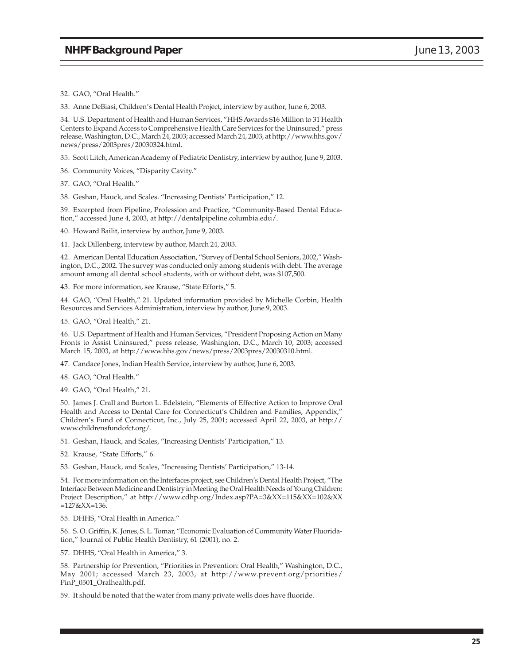32. GAO, "Oral Health."

33. Anne DeBiasi, Children's Dental Health Project, interview by author, June 6, 2003.

34. U.S. Department of Health and Human Services, "HHS Awards \$16 Million to 31 Health Centers to Expand Access to Comprehensive Health Care Services for the Uninsured," press release, Washington, D.C., March 24, 2003; accessed March 24, 2003, at http://www.hhs.gov/ news/press/2003pres/20030324.html.

35. Scott Litch, American Academy of Pediatric Dentistry, interview by author, June 9, 2003.

36. Community Voices, "Disparity Cavity."

37. GAO, "Oral Health."

38. Geshan, Hauck, and Scales. "Increasing Dentists' Participation," 12.

39. Excerpted from Pipeline, Profession and Practice, "Community-Based Dental Education," accessed June 4, 2003, at http://dentalpipeline.columbia.edu/.

40. Howard Bailit, interview by author, June 9, 2003.

41. Jack Dillenberg, interview by author, March 24, 2003.

42. American Dental Education Association, "Survey of Dental School Seniors, 2002," Washington, D.C., 2002. The survey was conducted only among students with debt. The average amount among all dental school students, with or without debt, was \$107,500.

43. For more information, see Krause, "State Efforts," 5.

44. GAO, "Oral Health," 21. Updated information provided by Michelle Corbin, Health Resources and Services Administration, interview by author, June 9, 2003.

45. GAO, "Oral Health," 21.

46. U.S. Department of Health and Human Services, "President Proposing Action on Many Fronts to Assist Uninsured," press release, Washington, D.C., March 10, 2003; accessed March 15, 2003, at http://www.hhs.gov/news/press/2003pres/20030310.html.

47. Candace Jones, Indian Health Service, interview by author, June 6, 2003.

48. GAO, "Oral Health."

49. GAO, "Oral Health," 21.

50. James J. Crall and Burton L. Edelstein, "Elements of Effective Action to Improve Oral Health and Access to Dental Care for Connecticut's Children and Families, Appendix," Children's Fund of Connecticut, Inc., July 25, 2001; accessed April 22, 2003, at http:// www.childrensfundofct.org/.

51. Geshan, Hauck, and Scales, "Increasing Dentists' Participation," 13.

52. Krause, "State Efforts," 6.

53. Geshan, Hauck, and Scales, "Increasing Dentists' Participation," 13-14.

54. For more information on the Interfaces project, see Children's Dental Health Project, "The Interface Between Medicine and Dentistry in Meeting the Oral Health Needs of Young Children: Project Description," at http://www.cdhp.org/Index.asp?PA=3&XX=115&XX=102&XX =127&XX=136.

55. DHHS, "Oral Health in America."

56. S. O. Griffin, K. Jones, S. L. Tomar, "Economic Evaluation of Community Water Fluoridation," Journal of Public Health Dentistry, 61 (2001), no. 2.

57. DHHS, "Oral Health in America," 3.

58. Partnership for Prevention, "Priorities in Prevention: Oral Health," Washington, D.C., May 2001; accessed March 23, 2003, at http://www.prevent.org/priorities/ PinP\_0501\_Oralhealth.pdf.

59. It should be noted that the water from many private wells does have fluoride.